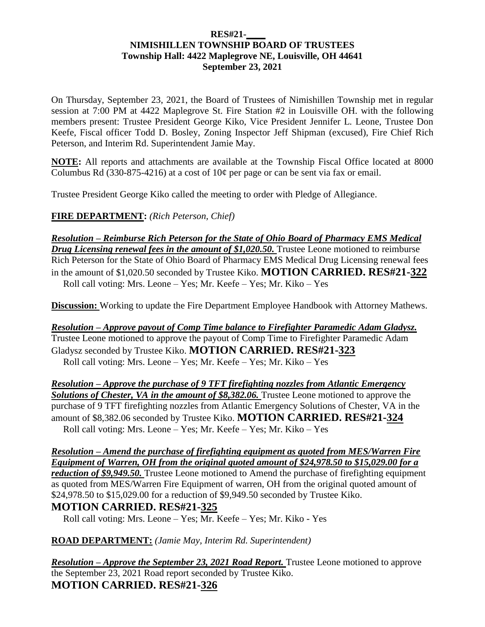#### **RES#21-\_\_\_\_ NIMISHILLEN TOWNSHIP BOARD OF TRUSTEES Township Hall: 4422 Maplegrove NE, Louisville, OH 44641 September 23, 2021**

On Thursday, September 23, 2021, the Board of Trustees of Nimishillen Township met in regular session at 7:00 PM at 4422 Maplegrove St. Fire Station #2 in Louisville OH. with the following members present: Trustee President George Kiko, Vice President Jennifer L. Leone, Trustee Don Keefe, Fiscal officer Todd D. Bosley, Zoning Inspector Jeff Shipman (excused), Fire Chief Rich Peterson, and Interim Rd. Superintendent Jamie May.

**NOTE:** All reports and attachments are available at the Township Fiscal Office located at 8000 Columbus Rd (330-875-4216) at a cost of  $10¢$  per page or can be sent via fax or email.

Trustee President George Kiko called the meeting to order with Pledge of Allegiance.

**FIRE DEPARTMENT:** *(Rich Peterson, Chief)*

*Resolution – Reimburse Rich Peterson for the State of Ohio Board of Pharmacy EMS Medical Drug Licensing renewal fees in the amount of \$1,020.50.* Trustee Leone motioned to reimburse Rich Peterson for the State of Ohio Board of Pharmacy EMS Medical Drug Licensing renewal fees in the amount of \$1,020.50 seconded by Trustee Kiko. **MOTION CARRIED. RES#21-322** Roll call voting: Mrs. Leone – Yes; Mr. Keefe – Yes; Mr. Kiko – Yes

**Discussion:** Working to update the Fire Department Employee Handbook with Attorney Mathews.

*Resolution – Approve payout of Comp Time balance to Firefighter Paramedic Adam Gladysz.*  Trustee Leone motioned to approve the payout of Comp Time to Firefighter Paramedic Adam Gladysz seconded by Trustee Kiko. **MOTION CARRIED. RES#21-323**  Roll call voting: Mrs. Leone – Yes; Mr. Keefe – Yes; Mr. Kiko – Yes

*Resolution – Approve the purchase of 9 TFT firefighting nozzles from Atlantic Emergency*  **Solutions of Chester, VA in the amount of \$8,382.06.** Trustee Leone motioned to approve the purchase of 9 TFT firefighting nozzles from Atlantic Emergency Solutions of Chester, VA in the amount of \$8,382.06 seconded by Trustee Kiko. **MOTION CARRIED. RES#21-324**  Roll call voting: Mrs. Leone – Yes; Mr. Keefe – Yes; Mr. Kiko – Yes

*Resolution – Amend the purchase of firefighting equipment as quoted from MES/Warren Fire Equipment of Warren, OH from the original quoted amount of \$24,978.50 to \$15,029.00 for a reduction of \$9,949.50.* Trustee Leone motioned to Amend the purchase of firefighting equipment as quoted from MES/Warren Fire Equipment of warren, OH from the original quoted amount of \$24,978.50 to \$15,029.00 for a reduction of \$9,949.50 seconded by Trustee Kiko. **MOTION CARRIED. RES#21-325** 

Roll call voting: Mrs. Leone – Yes; Mr. Keefe – Yes; Mr. Kiko - Yes

#### **ROAD DEPARTMENT:** *(Jamie May, Interim Rd. Superintendent)*

*Resolution – Approve the September 23, 2021 Road Report.* Trustee Leone motioned to approve the September 23, 2021 Road report seconded by Trustee Kiko. **MOTION CARRIED. RES#21-326**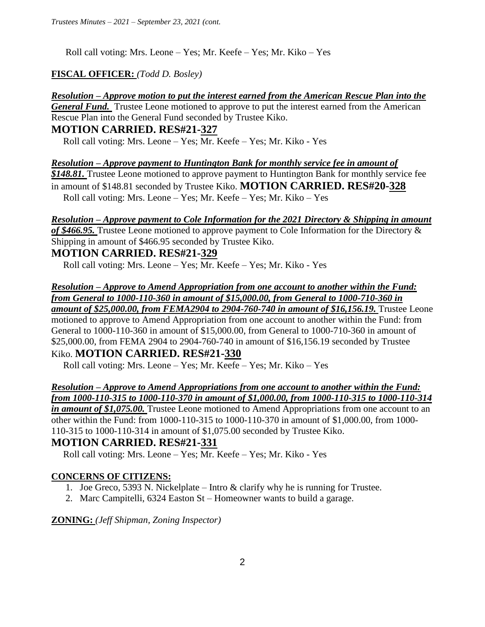Roll call voting: Mrs. Leone – Yes; Mr. Keefe – Yes; Mr. Kiko – Yes

### **FISCAL OFFICER:** *(Todd D. Bosley)*

*Resolution – Approve motion to put the interest earned from the American Rescue Plan into the General Fund.* Trustee Leone motioned to approve to put the interest earned from the American Rescue Plan into the General Fund seconded by Trustee Kiko.

### **MOTION CARRIED. RES#21-327**

Roll call voting: Mrs. Leone – Yes; Mr. Keefe – Yes; Mr. Kiko - Yes

*Resolution – Approve payment to Huntington Bank for monthly service fee in amount of \$148.81.* Trustee Leone motioned to approve payment to Huntington Bank for monthly service fee in amount of \$148.81 seconded by Trustee Kiko. **MOTION CARRIED. RES#20-328** Roll call voting: Mrs. Leone – Yes; Mr. Keefe – Yes; Mr. Kiko – Yes

### *Resolution – Approve payment to Cole Information for the 2021 Directory & Shipping in amount*

*of \$466.95.* Trustee Leone motioned to approve payment to Cole Information for the Directory & Shipping in amount of \$466.95 seconded by Trustee Kiko.

## **MOTION CARRIED. RES#21-329**

Roll call voting: Mrs. Leone – Yes; Mr. Keefe – Yes; Mr. Kiko - Yes

#### *Resolution – Approve to Amend Appropriation from one account to another within the Fund: from General to 1000-110-360 in amount of \$15,000.00, from General to 1000-710-360 in amount of \$25,000.00, from FEMA2904 to 2904-760-740 in amount of \$16,156.19.* Trustee Leone

motioned to approve to Amend Appropriation from one account to another within the Fund: from General to 1000-110-360 in amount of \$15,000.00, from General to 1000-710-360 in amount of \$25,000.00, from FEMA 2904 to 2904-760-740 in amount of \$16,156.19 seconded by Trustee Kiko. **MOTION CARRIED. RES#21-330**

Roll call voting: Mrs. Leone – Yes; Mr. Keefe – Yes; Mr. Kiko – Yes

#### *Resolution – Approve to Amend Appropriations from one account to another within the Fund: from 1000-110-315 to 1000-110-370 in amount of \$1,000.00, from 1000-110-315 to 1000-110-314*

*in amount of \$1,075.00.* Trustee Leone motioned to Amend Appropriations from one account to an other within the Fund: from 1000-110-315 to 1000-110-370 in amount of \$1,000.00, from 1000- 110-315 to 1000-110-314 in amount of \$1,075.00 seconded by Trustee Kiko.

# **MOTION CARRIED. RES#21-331**

Roll call voting: Mrs. Leone – Yes; Mr. Keefe – Yes; Mr. Kiko - Yes

## **CONCERNS OF CITIZENS:**

- 1. Joe Greco, 5393 N. Nickelplate Intro & clarify why he is running for Trustee.
- 2. Marc Campitelli, 6324 Easton St Homeowner wants to build a garage.

**ZONING:** *(Jeff Shipman, Zoning Inspector)*